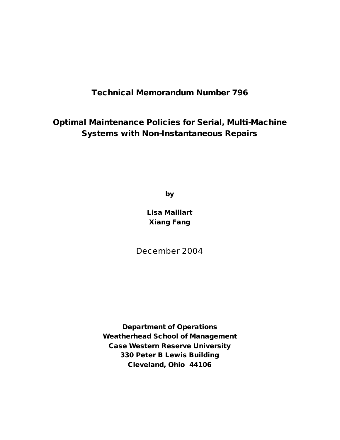### **Technical Memorandum Number 796**

**Optimal Maintenance Policies for Serial, Multi-Machine Systems with Non-Instantaneous Repairs**

**by**

**Lisa Maillart Xiang Fang**

December 2004

**Department of Operations Weatherhead School of Management Case Western Reserve University 330 Peter B Lewis Building Cleveland, Ohio 44106**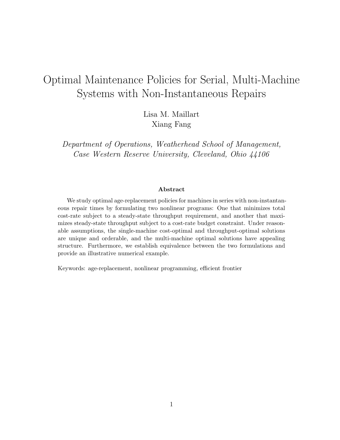# Optimal Maintenance Policies for Serial, Multi-Machine Systems with Non-Instantaneous Repairs

Lisa M. Maillart Xiang Fang

Department of Operations, Weatherhead School of Management, Case Western Reserve University, Cleveland, Ohio 44106

#### Abstract

We study optimal age-replacement policies for machines in series with non-instantaneous repair times by formulating two nonlinear programs: One that minimizes total cost-rate subject to a steady-state throughput requirement, and another that maximizes steady-state throughput subject to a cost-rate budget constraint. Under reasonable assumptions, the single-machine cost-optimal and throughput-optimal solutions are unique and orderable, and the multi-machine optimal solutions have appealing structure. Furthermore, we establish equivalence between the two formulations and provide an illustrative numerical example.

Keywords: age-replacement, nonlinear programming, efficient frontier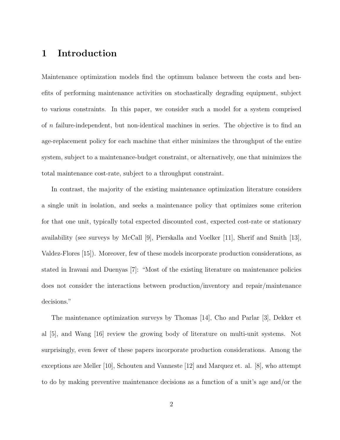## 1 Introduction

Maintenance optimization models find the optimum balance between the costs and benefits of performing maintenance activities on stochastically degrading equipment, subject to various constraints. In this paper, we consider such a model for a system comprised of n failure-independent, but non-identical machines in series. The objective is to find an age-replacement policy for each machine that either minimizes the throughput of the entire system, subject to a maintenance-budget constraint, or alternatively, one that minimizes the total maintenance cost-rate, subject to a throughput constraint.

In contrast, the majority of the existing maintenance optimization literature considers a single unit in isolation, and seeks a maintenance policy that optimizes some criterion for that one unit, typically total expected discounted cost, expected cost-rate or stationary availability (see surveys by McCall [9], Pierskalla and Voelker [11], Sherif and Smith [13], Valdez-Flores [15]). Moreover, few of these models incorporate production considerations, as stated in Iravani and Duenyas [7]: "Most of the existing literature on maintenance policies does not consider the interactions between production/inventory and repair/maintenance decisions."

The maintenance optimization surveys by Thomas [14], Cho and Parlar [3], Dekker et al [5], and Wang [16] review the growing body of literature on multi-unit systems. Not surprisingly, even fewer of these papers incorporate production considerations. Among the exceptions are Meller [10], Schouten and Vanneste [12] and Marquez et. al. [8], who attempt to do by making preventive maintenance decisions as a function of a unit's age and/or the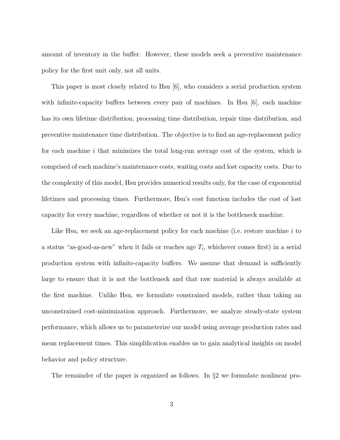amount of inventory in the buffer. However, these models seek a preventive maintenance policy for the first unit only, not all units.

This paper is most closely related to Hsu [6], who considers a serial production system with infinite-capacity buffers between every pair of machines. In Hsu  $|6|$ , each machine has its own lifetime distribution, processing time distribution, repair time distribution, and preventive maintenance time distribution. The objective is to find an age-replacement policy for each machine i that minimizes the total long-run average cost of the system, which is comprised of each machine's maintenance costs, waiting costs and lost capacity costs. Due to the complexity of this model, Hsu provides numerical results only, for the case of exponential lifetimes and processing times. Furthermore, Hsu's cost function includes the cost of lost capacity for every machine, regardless of whether or not it is the bottleneck machine.

Like Hsu, we seek an age-replacement policy for each machine (i.e. restore machine  $i$  to a status "as-good-as-new" when it fails or reaches age  $T_i$ , whichever comes first) in a serial production system with infinite-capacity buffers. We assume that demand is sufficiently large to ensure that it is not the bottleneck and that raw material is always available at the first machine. Unlike Hsu, we formulate constrained models, rather than taking an unconstrained cost-minimization approach. Furthermore, we analyze steady-state system performance, which allows us to parameterize our model using average production rates and mean replacement times. This simplification enables us to gain analytical insights on model behavior and policy structure.

The remainder of the paper is organized as follows. In §2 we formulate nonlinear pro-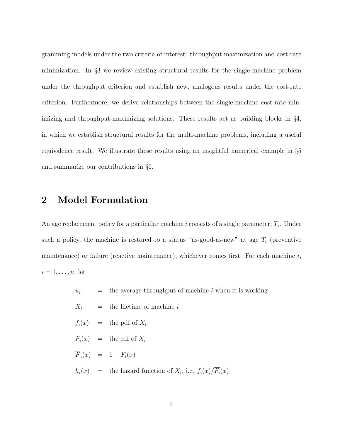gramming models under the two criteria of interest: throughput maximization and cost-rate minimization. In §3 we review existing structural results for the single-machine problem under the throughput criterion and establish new, analogous results under the cost-rate criterion. Furthermore, we derive relationships between the single-machine cost-rate minimizing and throughput-maximizing solutions. These results act as building blocks in §4, in which we establish structural results for the multi-machine problems, including a useful equivalence result. We illustrate these results using an insightful numerical example in §5 and summarize our contributions in §6.

### 2 Model Formulation

An age replacement policy for a particular machine i consists of a single parameter,  $T_i$ . Under such a policy, the machine is restored to a status "as-good-as-new" at age  $T_i$  (preventive maintenance) or failure (reactive maintenance), whichever comes first. For each machine  $i$ ,  $i=1,\ldots,n$ , let

- $u_i$  = the average throughput of machine i when it is working
- $X_i$  = the lifetime of machine i
- $f_i(x)$  = the pdf of  $X_i$
- $F_i(x)$  = the cdf of  $X_i$
- $\overline{F}_i(x) = 1 F_i(x)$
- $h_i(x)$  = the hazard function of  $X_i$ , i.e.  $f_i(x)/\overline{F_i}(x)$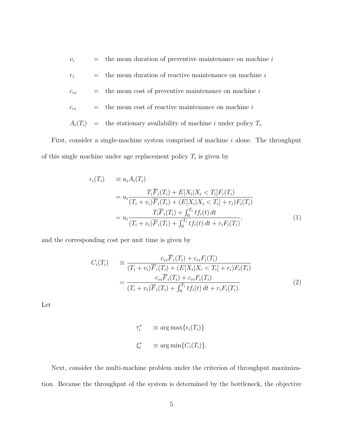$v_i$  = the mean duration of preventive maintenance on machine i  $r_i$  = the mean duration of reactive maintenance on machine i  $c_{vi}$  = the mean cost of preventive maintenance on machine i  $c_{ri}$  = the mean cost of reactive maintenance on machine i  $A_i(T_i)$  = the stationary availability of machine i under policy  $T_i$ .

First, consider a single-machine system comprised of machine  $i$  alone. The throughput of this single machine under age replacement policy  $T_i$  is given by

$$
\epsilon_i(T_i) \equiv u_i A_i(T_i) \n= u_i \frac{T_i \overline{F}_i(T_i) + E[X_i | X_i < T_i] F_i(T_i)}{(T_i + v_i) \overline{F}_i(T_i) + (E[X_i | X_i < T_i] + r_i) F_i(T_i)} \n= u_i \frac{T_i \overline{F}_i(T_i) + \int_0^{T_i} t f_i(t) dt}{(T_i + v_i) \overline{F}_i(T_i) + \int_0^{T_i} t f_i(t) dt + r_i F_i(T_i)},
$$
\n(1)

and the corresponding cost per unit time is given by

$$
C_i(T_i) = \frac{c_{vi}F_i(T_i) + c_{ri}F_i(T_i)}{(T_i + v_i)\overline{F}_i(T_i) + (E[X_i|X_i < T_i] + r_i)F_i(T_i)}
$$
\n
$$
= \frac{c_{vi}\overline{F}_i(T_i) + c_{ri}F_i(T_i)}{(T_i + v_i)\overline{F}_i(T_i) + \int_0^{T_i} t f_i(t) dt + r_i F_i(T_i).}
$$
\n(2)

Let

$$
\tau_i^* \equiv \arg \max \{ \epsilon_i(T_i) \}
$$
  

$$
\xi_i^* \equiv \arg \min \{ C_i(T_i) \}.
$$

Next, consider the multi-machine problem under the criterion of throughput maximization. Because the throughput of the system is determined by the bottleneck, the objective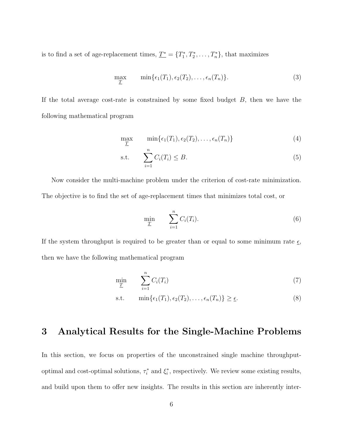is to find a set of age-replacement times,  $\underline{T^*} = \{T_1^*, T_2^*, \ldots, T_n^*\}$ , that maximizes

$$
\max_{\underline{T}} \qquad \min\{\epsilon_1(T_1), \epsilon_2(T_2), \ldots, \epsilon_n(T_n)\}.
$$
\n(3)

If the total average cost-rate is constrained by some fixed budget  $B$ , then we have the following mathematical program

$$
\max_{\underline{T}} \qquad \min\{\epsilon_1(T_1), \epsilon_2(T_2), \ldots, \epsilon_n(T_n)\}\tag{4}
$$

$$
\text{s.t.} \qquad \sum_{i=1}^{n} C_i(T_i) \leq B. \tag{5}
$$

Now consider the multi-machine problem under the criterion of cost-rate minimization. The objective is to find the set of age-replacement times that minimizes total cost, or

$$
\min_{\underline{T}} \qquad \sum_{i=1}^{n} C_i(T_i). \tag{6}
$$

If the system throughput is required to be greater than or equal to some minimum rate  $\underline{\epsilon}$ , then we have the following mathematical program

$$
\min_{\underline{T}} \qquad \sum_{i=1}^{n} C_i(T_i) \tag{7}
$$

s.t. 
$$
\min\{\epsilon_1(T_1), \epsilon_2(T_2), \ldots, \epsilon_n(T_n)\} \geq \underline{\epsilon}.
$$
 (8)

### 3 Analytical Results for the Single-Machine Problems

In this section, we focus on properties of the unconstrained single machine throughputoptimal and cost-optimal solutions,  $\tau_i^*$  and  $\xi_i^*$ , respectively. We review some existing results, and build upon them to offer new insights. The results in this section are inherently inter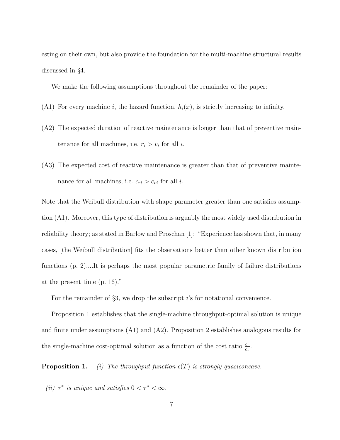esting on their own, but also provide the foundation for the multi-machine structural results discussed in §4.

We make the following assumptions throughout the remainder of the paper:

- (A1) For every machine i, the hazard function,  $h_i(x)$ , is strictly increasing to infinity.
- (A2) The expected duration of reactive maintenance is longer than that of preventive maintenance for all machines, i.e.  $r_i > v_i$  for all *i*.
- (A3) The expected cost of reactive maintenance is greater than that of preventive maintenance for all machines, i.e.  $c_{ri} > c_{vi}$  for all *i*.

Note that the Weibull distribution with shape parameter greater than one satisfies assumption (A1). Moreover, this type of distribution is arguably the most widely used distribution in reliability theory; as stated in Barlow and Proschan [1]: "Experience has shown that, in many cases, [the Weibull distribution] fits the observations better than other known distribution functions (p. 2)....It is perhaps the most popular parametric family of failure distributions at the present time (p. 16)."

For the remainder of  $\S3$ , we drop the subscript is for notational convenience.

Proposition 1 establishes that the single-machine throughput-optimal solution is unique and finite under assumptions (A1) and (A2). Proposition 2 establishes analogous results for the single-machine cost-optimal solution as a function of the cost ratio  $\frac{c_r}{c_v}$ .

**Proposition 1.** (i) The throughput function  $\epsilon(T)$  is strongly quasiconcave.

(ii)  $\tau^*$  is unique and satisfies  $0 < \tau^* < \infty$ .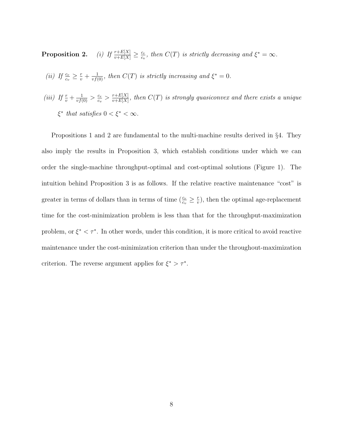Proposition 2.  $\frac{r+E[X]}{v+E[X]} \geq \frac{c_r}{c_v}$  $\frac{c_r}{c_v}$ , then  $C(T)$  is strictly decreasing and  $\xi^* = \infty$ .

- (ii) If  $\frac{c_r}{c_v} \geq \frac{r}{v} + \frac{1}{vf(0)}$ , then  $C(T)$  is strictly increasing and  $\xi^* = 0$ .
- (iii) If  $\frac{r}{v} + \frac{1}{vf(0)} > \frac{c_r}{c_v}$  $\frac{c_r}{c_v} > \frac{r+E[X]}{v+E[X]}$  $\frac{r+E[X]}{v+E[X]},$  then  $C(T)$  is strongly quasiconvex and there exists a unique  $\xi^*$  that satisfies  $0 < \xi^* < \infty$ .

Propositions 1 and 2 are fundamental to the multi-machine results derived in §4. They also imply the results in Proposition 3, which establish conditions under which we can order the single-machine throughput-optimal and cost-optimal solutions (Figure 1). The intuition behind Proposition 3 is as follows. If the relative reactive maintenance "cost" is greater in terms of dollars than in terms of time  $(\frac{c_r}{c_v} \geq \frac{r}{v})$  $(v_x^r)$ , then the optimal age-replacement time for the cost-minimization problem is less than that for the throughput-maximization problem, or  $\xi^* < \tau^*$ . In other words, under this condition, it is more critical to avoid reactive maintenance under the cost-minimization criterion than under the throughout-maximization criterion. The reverse argument applies for  $\xi^* > \tau^*$ .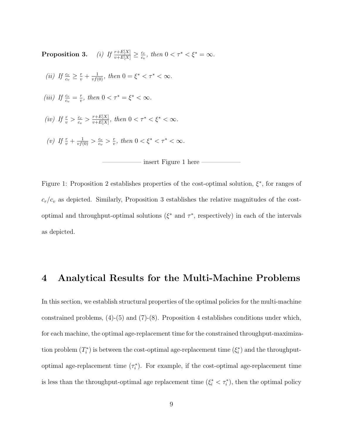Proposition 3.  $\frac{r+E[X]}{v+E[X]} \geq \frac{c_r}{c_v}$  $\frac{c_r}{c_v}$ , then  $0 < \tau^* < \xi^* = \infty$ . (ii) If  $\frac{c_r}{c_v} \geq \frac{r}{v} + \frac{1}{vf(0)}$ , then  $0 = \xi^* < \tau^* < \infty$ . (iii) If  $\frac{c_r}{c_v} = \frac{r}{v}$  $\frac{r}{v}$ , then  $0 < \tau^* = \xi^* < \infty$ . (iv) If  $\frac{r}{v} > \frac{c_r}{c_v}$  $\frac{c_r}{c_v} > \frac{r+E[X]}{v+E[X]}$  $\frac{r+E[X]}{v+E[X]},\$  then  $0<\tau^*<\xi^*<\infty$ . (v) If  $\frac{r}{v} + \frac{1}{vf(0)} > \frac{c_r}{c_v}$  $\frac{c_r}{c_v} > \frac{r}{v}$  $\frac{r}{v}$ , then  $0 < \xi^* < \tau^* < \infty$ .



Figure 1: Proposition 2 establishes properties of the cost-optimal solution,  $\xi^*$ , for ranges of  $c_r/c_v$  as depicted. Similarly, Proposition 3 establishes the relative magnitudes of the costoptimal and throughput-optimal solutions ( $\xi^*$  and  $\tau^*$ , respectively) in each of the intervals as depicted.

#### 4 Analytical Results for the Multi-Machine Problems

In this section, we establish structural properties of the optimal policies for the multi-machine constrained problems, (4)-(5) and (7)-(8). Proposition 4 establishes conditions under which, for each machine, the optimal age-replacement time for the constrained throughput-maximization problem  $(T_i^*)$  is between the cost-optimal age-replacement time  $(\xi_i^*)$  and the throughputoptimal age-replacement time  $(\tau_i^*)$ . For example, if the cost-optimal age-replacement time is less than the throughput-optimal age replacement time  $(\xi_i^* < \tau_i^*)$ , then the optimal policy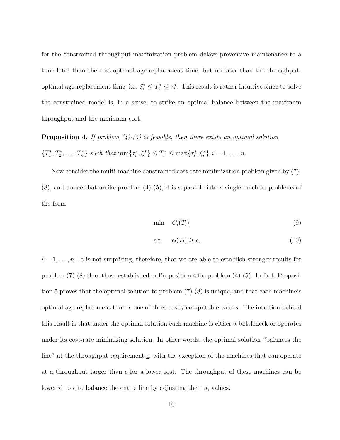for the constrained throughput-maximization problem delays preventive maintenance to a time later than the cost-optimal age-replacement time, but no later than the throughputoptimal age-replacement time, i.e.  $\xi_i^* \leq T_i^* \leq \tau_i^*$ . This result is rather intuitive since to solve the constrained model is, in a sense, to strike an optimal balance between the maximum throughput and the minimum cost.

**Proposition 4.** If problem  $(4)$ - $(5)$  is feasible, then there exists an optimal solution  $\{T_1^*, T_2^*, \ldots, T_n^*\}$  such that  $\min\{\tau_i^*, \xi_i^*\} \leq T_i^* \leq \max\{\tau_i^*, \xi_i^*\}, i = 1, \ldots, n$ .

Now consider the multi-machine constrained cost-rate minimization problem given by (7)-  $(8)$ , and notice that unlike problem  $(4)-(5)$ , it is separable into *n* single-machine problems of the form

$$
\min \quad C_i(T_i) \tag{9}
$$

$$
\text{s.t.} \quad \epsilon_i(T_i) \ge \underline{\epsilon}, \tag{10}
$$

 $i = 1, \ldots, n$ . It is not surprising, therefore, that we are able to establish stronger results for problem (7)-(8) than those established in Proposition 4 for problem (4)-(5). In fact, Proposition 5 proves that the optimal solution to problem (7)-(8) is unique, and that each machine's optimal age-replacement time is one of three easily computable values. The intuition behind this result is that under the optimal solution each machine is either a bottleneck or operates under its cost-rate minimizing solution. In other words, the optimal solution "balances the line" at the throughput requirement  $\epsilon$ , with the exception of the machines that can operate at a throughput larger than  $\epsilon$  for a lower cost. The throughput of these machines can be lowered to  $\epsilon$  to balance the entire line by adjusting their  $u_i$  values.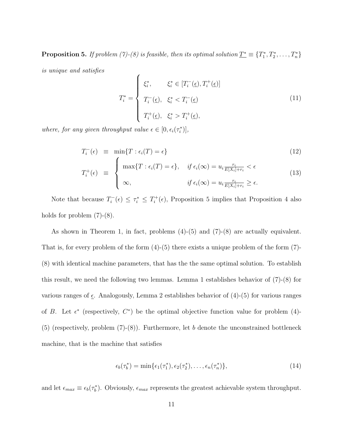**Proposition 5.** If problem (7)-(8) is feasible, then its optimal solution  $\underline{T^*}\equiv \{T^*_1, T^*_2, \ldots, T^*_n\}$ 

is unique and satisfies

$$
T_i^* = \begin{cases} \xi_i^*, & \xi_i^* \in [T_i^-(\underline{\epsilon}), T_i^+(\underline{\epsilon})] \\ T_i^-(\underline{\epsilon}), & \xi_i^* < T_i^-(\underline{\epsilon}) \\ T_i^+(\underline{\epsilon}), & \xi_i^* > T_i^+(\underline{\epsilon}), \end{cases} \tag{11}
$$

where, for any given throughput value  $\epsilon \in [0, \epsilon_i(\tau_i^*)]$ ,

$$
T_i^-(\epsilon) \equiv \min\{T : \epsilon_i(T) = \epsilon\}
$$
\n
$$
T_i^+(\epsilon) \equiv \begin{cases} \max\{T : \epsilon_i(T) = \epsilon\}, & \text{if } \epsilon_i(\infty) = u_i \frac{r_i}{E[X_i] + r_i} < \epsilon\\ \infty, & \text{if } \epsilon_i(\infty) = u_i \frac{r_i}{E[X_i] + r_i} \ge \epsilon. \end{cases}
$$
\n
$$
(12)
$$
\n
$$
(13)
$$

Note that because  $T_i^ \tau_i^-(\epsilon) \leq \tau_i^* \leq T_i^+$  $i^+(\epsilon)$ , Proposition 5 implies that Proposition 4 also holds for problem  $(7)-(8)$ .

As shown in Theorem 1, in fact, problems (4)-(5) and (7)-(8) are actually equivalent. That is, for every problem of the form  $(4)-(5)$  there exists a unique problem of the form  $(7)$ -(8) with identical machine parameters, that has the the same optimal solution. To establish this result, we need the following two lemmas. Lemma 1 establishes behavior of (7)-(8) for various ranges of  $\underline{\epsilon}$ . Analogously, Lemma 2 establishes behavior of (4)-(5) for various ranges of B. Let  $\epsilon^*$  (respectively,  $C^*$ ) be the optimal objective function value for problem (4)- $(5)$  (respectively, problem  $(7)-(8)$ ). Furthermore, let b denote the unconstrained bottleneck machine, that is the machine that satisfies

$$
\epsilon_b(\tau_b^*) = \min\{\epsilon_1(\tau_1^*), \epsilon_2(\tau_2^*), \dots, \epsilon_n(\tau_n^*)\},\tag{14}
$$

and let  $\epsilon_{max} \equiv \epsilon_b(\tau_b^*)$ . Obviously,  $\epsilon_{max}$  represents the greatest achievable system throughput.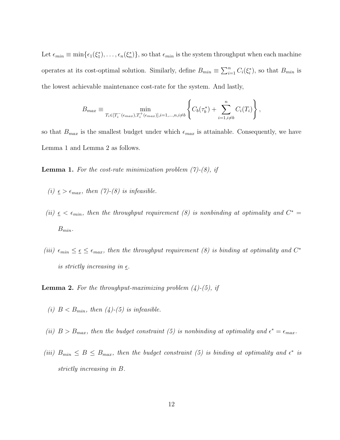Let  $\epsilon_{min} \equiv \min\{\epsilon_1(\xi_1^*), \ldots, \epsilon_n(\xi_n^*)\}$ , so that  $\epsilon_{min}$  is the system throughput when each machine operates at its cost-optimal solution. Similarly, define  $B_{min} \equiv \sum_{i=1}^{n} C_i(\xi_i^*)$ , so that  $B_{min}$  is the lowest achievable maintenance cost-rate for the system. And lastly,

$$
B_{max} \equiv \min_{T_i \in [T_i^-(\epsilon_{max}), T_i^+(\epsilon_{max})], i=1,...,n, i \neq b} \left\{ C_b(\tau_b^*) + \sum_{i=1, i \neq b}^n C_i(T_i) \right\},
$$

so that  $B_{max}$  is the smallest budget under which  $\epsilon_{max}$  is attainable. Consequently, we have Lemma 1 and Lemma 2 as follows.

**Lemma 1.** For the cost-rate minimization problem  $(7)-(8)$ , if

- (i)  $\epsilon > \epsilon_{max}$ , then (7)-(8) is infeasible.
- (ii)  $\epsilon < \epsilon_{min}$ , then the throughput requirement (8) is nonbinding at optimality and  $C^*$  $B_{min}$ .
- (iii)  $\epsilon_{min} \leq \epsilon \leq \epsilon_{max}$ , then the throughput requirement (8) is binding at optimality and  $C^*$ is strictly increasing in  $\epsilon$ .

**Lemma 2.** For the throughput-maximizing problem  $(4)-(5)$ , if

- (i)  $B < B_{min}$ , then (4)-(5) is infeasible.
- (ii)  $B > B_{max}$ , then the budget constraint (5) is nonbinding at optimality and  $\epsilon^* = \epsilon_{max}$ .
- (iii)  $B_{min} \leq B \leq B_{max}$ , then the budget constraint (5) is binding at optimality and  $\epsilon^*$  is strictly increasing in B.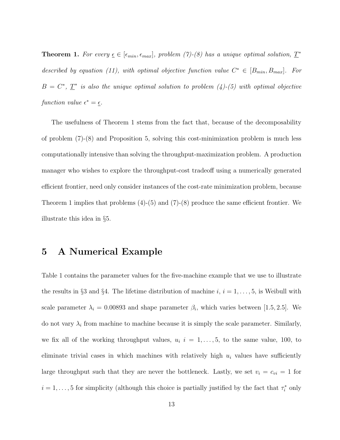**Theorem 1.** For every  $\underline{\epsilon} \in [\epsilon_{min}, \epsilon_{max}]$ , problem (7)-(8) has a unique optimal solution,  $\underline{T}^*$ described by equation (11), with optimal objective function value  $C^* \in [B_{min}, B_{max}]$ . For  $B = C^*$ ,  $\underline{T}^*$  is also the unique optimal solution to problem (4)-(5) with optimal objective function value  $\epsilon^* = \underline{\epsilon}$ .

The usefulness of Theorem 1 stems from the fact that, because of the decomposability of problem (7)-(8) and Proposition 5, solving this cost-minimization problem is much less computationally intensive than solving the throughput-maximization problem. A production manager who wishes to explore the throughput-cost tradeoff using a numerically generated efficient frontier, need only consider instances of the cost-rate minimization problem, because Theorem 1 implies that problems (4)-(5) and (7)-(8) produce the same efficient frontier. We illustrate this idea in §5.

### 5 A Numerical Example

Table 1 contains the parameter values for the five-machine example that we use to illustrate the results in §3 and §4. The lifetime distribution of machine  $i, i = 1, \ldots, 5$ , is Weibull with scale parameter  $\lambda_i = 0.00893$  and shape parameter  $\beta_i$ , which varies between [1.5, 2.5]. We do not vary  $\lambda_i$  from machine to machine because it is simply the scale parameter. Similarly, we fix all of the working throughput values,  $u_i$  i = 1,..., 5, to the same value, 100, to eliminate trivial cases in which machines with relatively high  $u_i$  values have sufficiently large throughput such that they are never the bottleneck. Lastly, we set  $v_i = c_{vi} = 1$  for  $i = 1, \ldots, 5$  for simplicity (although this choice is partially justified by the fact that  $\tau_i^*$  only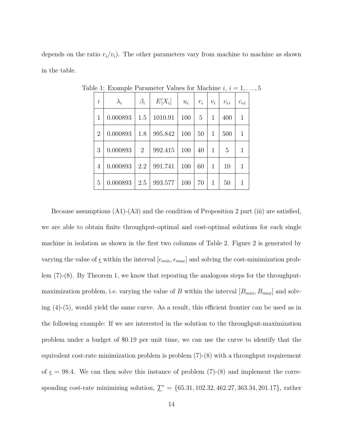depends on the ratio  $r_i/v_i$ ). The other parameters vary from machine to machine as shown in the table.

| $\dot{i}$      | $\lambda_i$ | $\beta_i$      | $E[X_i]$ | $u_i$ | $r_i$ | $v_i$ | $c_{ri}$ | $c_{vi}$     |
|----------------|-------------|----------------|----------|-------|-------|-------|----------|--------------|
| 1              | 0.000893    | 1.5            | 1010.91  | 100   | 5     | 1     | 400      | $\mathbf{1}$ |
| $\overline{2}$ | 0.000893    | 1.8            | 995.842  | 100   | 50    | 1     | 500      | 1            |
| 3              | 0.000893    | $\overline{2}$ | 992.415  | 100   | 40    | 1     | 5        | 1            |
| 4              | 0.000893    | 2.2            | 991.741  | 100   | 60    | 1     | 10       | 1            |
| 5              | 0.000893    | 2.5            | 993.577  | 100   | 70    | 1     | 50       | 1            |

Table 1: Example Parameter Values for Machine  $i, i = 1, \ldots, 5$ 

Because assumptions (A1)-(A3) and the condition of Proposition 2 part (iii) are satisfied, we are able to obtain finite throughput-optimal and cost-optimal solutions for each single machine in isolation as shown in the first two columns of Table 2. Figure 2 is generated by varying the value of  $\epsilon$  within the interval  $[\epsilon_{min}, \epsilon_{max}]$  and solving the cost-minimization problem (7)-(8). By Theorem 1, we know that repeating the analogous steps for the throughputmaximization problem, i.e. varying the value of B within the interval  $[B_{min}, B_{max}]$  and solving (4)-(5), would yield the same curve. As a result, this efficient frontier can be used as in the following example: If we are interested in the solution to the throughput-maximization problem under a budget of \$0.19 per unit time, we can use the curve to identify that the equivalent cost-rate minimization problem is problem (7)-(8) with a throughput requirement of  $\epsilon$  = 98.4. We can then solve this instance of problem (7)-(8) and implement the corresponding cost-rate minimizing solution,  $\underline{T}^* = \{65.31, 102.32, 462.27, 363.34, 201.17\}$ , rather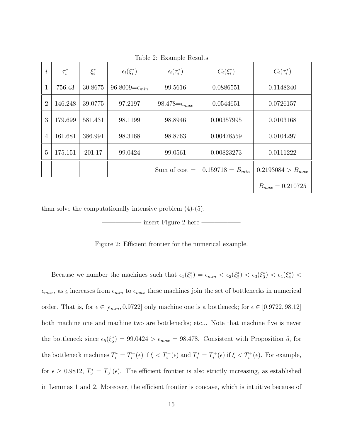| $\dot{i}$      | $\tau_i^*$ | $\xi_i^*$ | $\epsilon_i(\xi_i^*)$     | $\epsilon_i(\tau_i^*)$   | $C_i(\xi_i^*)$       | $C_i(\tau_i^*)$       |
|----------------|------------|-----------|---------------------------|--------------------------|----------------------|-----------------------|
|                | 756.43     | 30.8675   | 96.8009= $\epsilon_{min}$ | 99.5616                  | 0.0886551            | 0.1148240             |
| $\overline{2}$ | 146.248    | 39.0775   | 97.2197                   | 98.478= $\epsilon_{max}$ | 0.0544651            | 0.0726157             |
| 3              | 179.699    | 581.431   | 98.1199                   | 98.8946                  | 0.00357995           | 0.0103168             |
| 4              | 161.681    | 386.991   | 98.3168                   | 98.8763                  | 0.00478559           | 0.0104297             |
| 5              | 175.151    | 201.17    | 99.0424                   | 99.0561                  | 0.00823273           | 0.0111222             |
|                |            |           |                           | Sum of $cost =$          | $0.159718 = B_{min}$ | $0.2193084 > B_{max}$ |
|                |            |           |                           |                          |                      | $B_{max} = 0.210725$  |

Table 2: Example Results

than solve the computationally intensive problem (4)-(5).

insert Figure 2 here

Figure 2: Efficient frontier for the numerical example.

Because we number the machines such that  $\epsilon_1(\xi_1^*) = \epsilon_{min} < \epsilon_2(\xi_2^*) < \epsilon_3(\xi_3^*) < \epsilon_4(\xi_4^*) <$  $\epsilon_{max}$ , as  $\underline{\epsilon}$  increases from  $\epsilon_{min}$  to  $\epsilon_{max}$  these machines join the set of bottlenecks in numerical order. That is, for  $\underline{\epsilon} \in [\epsilon_{min}, 0.9722]$  only machine one is a bottleneck; for  $\underline{\epsilon} \in [0.9722, 98.12]$ both machine one and machine two are bottlenecks; etc... Note that machine five is never the bottleneck since  $\epsilon_5(\xi_5^*) = 99.0424 > \epsilon_{max} = 98.478$ . Consistent with Proposition 5, for the bottleneck machines  $T_i^* = T_i^ T_i^-(\underline{\epsilon})$  if  $\xi < T_i^-(\underline{\epsilon})$  and  $T_i^* = T_i^+$  $T_i^+(\underline{\epsilon})$  if  $\xi < T_i^+(\underline{\epsilon})$ . For example, for  $\epsilon \geq 0.9812$ ,  $T_3^* = T_3^+(\epsilon)$ . The efficient frontier is also strictly increasing, as established in Lemmas 1 and 2. Moreover, the efficient frontier is concave, which is intuitive because of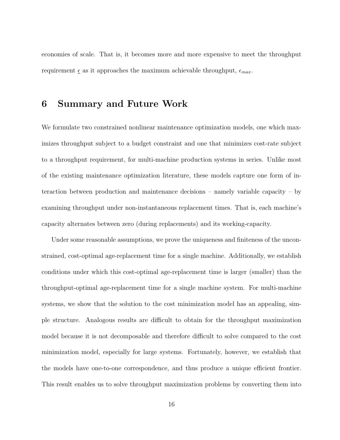economies of scale. That is, it becomes more and more expensive to meet the throughput requirement  $\epsilon$  as it approaches the maximum achievable throughput,  $\epsilon_{max}$ .

### 6 Summary and Future Work

We formulate two constrained nonlinear maintenance optimization models, one which maximizes throughput subject to a budget constraint and one that minimizes cost-rate subject to a throughput requirement, for multi-machine production systems in series. Unlike most of the existing maintenance optimization literature, these models capture one form of interaction between production and maintenance decisions – namely variable capacity – by examining throughput under non-instantaneous replacement times. That is, each machine's capacity alternates between zero (during replacements) and its working-capacity.

Under some reasonable assumptions, we prove the uniqueness and finiteness of the unconstrained, cost-optimal age-replacement time for a single machine. Additionally, we establish conditions under which this cost-optimal age-replacement time is larger (smaller) than the throughput-optimal age-replacement time for a single machine system. For multi-machine systems, we show that the solution to the cost minimization model has an appealing, simple structure. Analogous results are difficult to obtain for the throughput maximization model because it is not decomposable and therefore difficult to solve compared to the cost minimization model, especially for large systems. Fortunately, however, we establish that the models have one-to-one correspondence, and thus produce a unique efficient frontier. This result enables us to solve throughput maximization problems by converting them into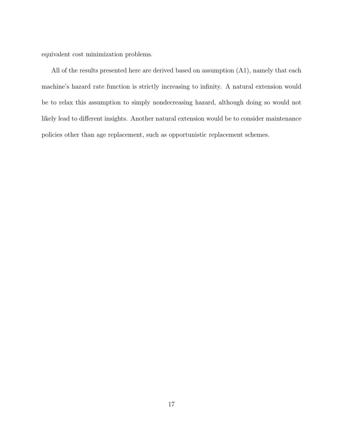equivalent cost minimization problems.

All of the results presented here are derived based on assumption (A1), namely that each machine's hazard rate function is strictly increasing to infinity. A natural extension would be to relax this assumption to simply nondecreasing hazard, although doing so would not likely lead to different insights. Another natural extension would be to consider maintenance policies other than age replacement, such as opportunistic replacement schemes.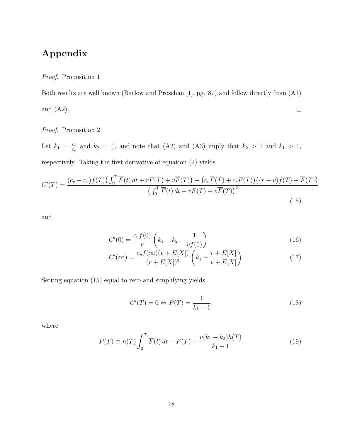# Appendix

Proof. Proposition 1

Both results are well known (Barlow and Proschan [1], pg. 87) and follow directly from (A1) and (A2).  $\Box$ 

Proof. Proposition 2

Let  $k_1 = \frac{c_r}{c_0}$  $\frac{c_r}{c_v}$  and  $k_2 = \frac{r}{v}$  $\frac{r}{v}$ , and note that (A2) and (A3) imply that  $k_2 > 1$  and  $k_1 > 1$ , respectively. Taking the first derivative of equation (2) yields

$$
C'(T) = \frac{(c_r - c_v)f(T)\left(\int_0^T \overline{F}(t) dt + rF(T) + v\overline{F}(T)\right) - \left(c_v\overline{F}(T) + c_rF(T)\right)\left((r - v)f(T) + \overline{F}(T)\right)}{\left(\int_0^T \overline{F}(t) dt + rF(T) + v\overline{F}(T)\right)^2}
$$
\n(15)

and

$$
C'(0) = \frac{c_v f(0)}{v} \left( k_1 - k_2 - \frac{1}{v f(0)} \right)
$$
 (16)

$$
C'(\infty) = \frac{c_v f(\infty)(v + E[X])}{(r + E[X])^2} \left( k_1 - \frac{r + E[X]}{v + E[X]} \right).
$$
 (17)

Setting equation (15) equal to zero and simplifying yields

$$
C'(T) = 0 \Leftrightarrow P(T) = \frac{1}{k_1 - 1},\tag{18}
$$

where

$$
P(T) \equiv h(T) \int_0^T \overline{F}(t) dt - F(T) + \frac{v(k_1 - k_2)h(T)}{k_1 - 1}.
$$
 (19)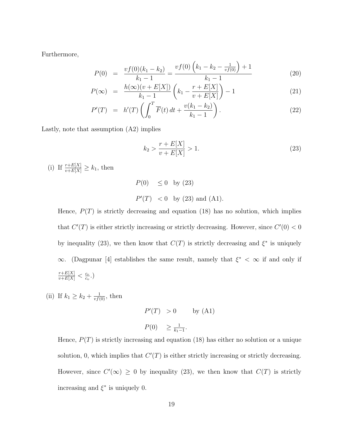Furthermore,

$$
P(0) = \frac{vf(0)(k_1 - k_2)}{k_1 - 1} = \frac{vf(0)\left(k_1 - k_2 - \frac{1}{vf(0)}\right) + 1}{k_1 - 1} \tag{20}
$$

$$
P(\infty) = \frac{h(\infty)(v + E[X])}{k_1 - 1} \left( k_1 - \frac{r + E[X]}{v + E[X]} \right) - 1 \tag{21}
$$

$$
P'(T) = h'(T) \left( \int_0^T \overline{F}(t) dt + \frac{v(k_1 - k_2)}{k_1 - 1} \right).
$$
 (22)

Lastly, note that assumption (A2) implies

$$
k_2 > \frac{r + E[X]}{v + E[X]} > 1.
$$
\n(23)

(i) If  $\frac{r+E[X]}{v+E[X]} \geq k_1$ , then

$$
P(0) \le 0
$$
 by (23)  
 $P'(T) < 0$  by (23) and (A1).

Hence,  $P(T)$  is strictly decreasing and equation (18) has no solution, which implies that  $C'(T)$  is either strictly increasing or strictly decreasing. However, since  $C'(0) < 0$ by inequality (23), we then know that  $C(T)$  is strictly decreasing and  $\xi^*$  is uniquely  $\infty$ . (Dagpunar [4] establishes the same result, namely that  $\xi^* < \infty$  if and only if  $\frac{r+E[X]}{v+E[X]}<\frac{c_r}{c_v}$  $\frac{c_r}{c_v}$ .)

- (ii) If  $k_1 \geq k_2 + \frac{1}{\nu f(0)}$ , then
- $P'(T) > 0$  by (A1)  $P(0) \geq \frac{1}{k_1}$  $\frac{1}{k_1-1}$ .

Hence,  $P(T)$  is strictly increasing and equation (18) has either no solution or a unique solution, 0, which implies that  $C'(T)$  is either strictly increasing or strictly decreasing. However, since  $C'(\infty) \geq 0$  by inequality (23), we then know that  $C(T)$  is strictly increasing and  $\xi^*$  is uniquely 0.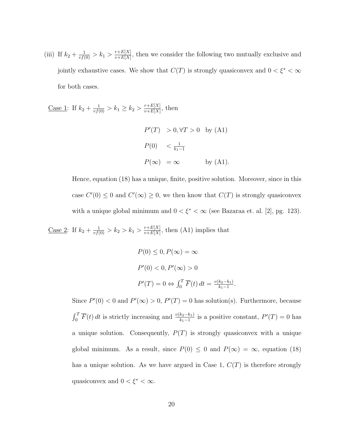(iii) If  $k_2 + \frac{1}{vf(0)} > k_1 > \frac{r+E[X]}{v+E[X]}$  $\frac{r+E[X]}{v+E[X]}$ , then we consider the following two mutually exclusive and jointly exhaustive cases. We show that  $C(T)$  is strongly quasiconvex and  $0<\xi^*<\infty$ for both cases.

<u>Case 1</u>: If  $k_2 + \frac{1}{vf(0)} > k_1 \ge k_2 > \frac{r+E[X]}{v+E[X]}$  $\frac{r+E[X]}{v+E[X]},$  then  $P'(T) > 0, \forall T > 0$  by (A1)  $P(0) \leq \frac{1}{k_1}$  $k_1-1$ 

$$
P(\infty) = \infty \qquad \text{by (A1)}.
$$

Hence, equation (18) has a unique, finite, positive solution. Moreover, since in this case  $C'(0) \leq 0$  and  $C'(\infty) \geq 0$ , we then know that  $C(T)$  is strongly quasiconvex with a unique global minimum and  $0 < \xi^* < \infty$  (see Bazaraa et. al. [2], pg. 123).

<u>Case 2</u>: If  $k_2 + \frac{1}{vf(0)} > k_2 > k_1 > \frac{r+E[X]}{v+E[X]}$  $\frac{r+E[X]}{v+E[X]}$ , then (A1) implies that

$$
P(0) \le 0, P(\infty) = \infty
$$
  

$$
P'(0) < 0, P'(\infty) > 0
$$
  

$$
P'(T) = 0 \Leftrightarrow \int_0^T \overline{F}(t) \, dt = \frac{v(k_2 - k_1)}{k_1 - 1}.
$$

Since  $P'(0) < 0$  and  $P'(\infty) > 0$ ,  $P'(T) = 0$  has solution(s). Furthermore, because  $\int_0^T \overline{F}(t) dt$  is strictly increasing and  $\frac{v(k_2-k_1)}{k_1-1}$  is a positive constant,  $P'(T) = 0$  has a unique solution. Consequently,  $P(T)$  is strongly quasiconvex with a unique global minimum. As a result, since  $P(0) \le 0$  and  $P(\infty) = \infty$ , equation (18) has a unique solution. As we have argued in Case 1,  $C(T)$  is therefore strongly quasiconvex and  $0 < \xi^* < \infty$ .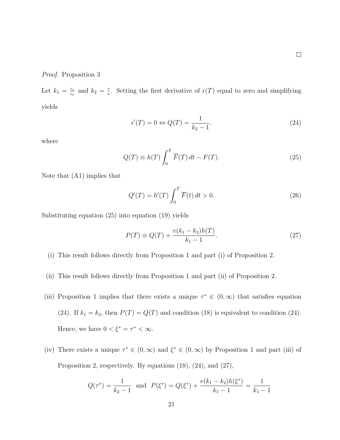Proof. Proposition 3

Let  $k_1 = \frac{c_r}{c_v}$  $\frac{c_r}{c_v}$  and  $k_2 = \frac{r}{v}$  $\frac{r}{v}$ . Setting the first derivative of  $\epsilon(T)$  equal to zero and simplifying yields

$$
\epsilon'(T) = 0 \Leftrightarrow Q(T) = \frac{1}{k_2 - 1},\tag{24}
$$

where

$$
Q(T) \equiv h(T) \int_0^T \overline{F}(T) dt - F(T). \tag{25}
$$

Note that (A1) implies that

$$
Q'(T) = h'(T) \int_0^T \overline{F}(t) dt > 0.
$$
\n(26)

Substituting equation (25) into equation (19) yields

$$
P(T) \equiv Q(T) + \frac{v(k_1 - k_2)h(T)}{k_1 - 1}.
$$
\n(27)

- (i) This result follows directly from Proposition 1 and part (i) of Proposition 2.
- (ii) This result follows directly from Proposition 1 and part (ii) of Proposition 2.
- (iii) Proposition 1 implies that there exists a unique  $\tau^* \in (0, \infty)$  that satisfies equation (24). If  $k_1 = k_2$ , then  $P(T) = Q(T)$  and condition (18) is equivalent to condition (24). Hence, we have  $0 < \xi^* = \tau^* < \infty$ .
- (iv) There exists a unique  $\tau^* \in (0, \infty)$  and  $\xi^* \in (0, \infty)$  by Proposition 1 and part (iii) of Proposition 2, respectively. By equations (18), (24), and (27),

$$
Q(\tau^*) = \frac{1}{k_2 - 1} \text{ and } P(\xi^*) = Q(\xi^*) + \frac{v(k_1 - k_2)h(\xi^*)}{k_1 - 1} = \frac{1}{k_1 - 1}
$$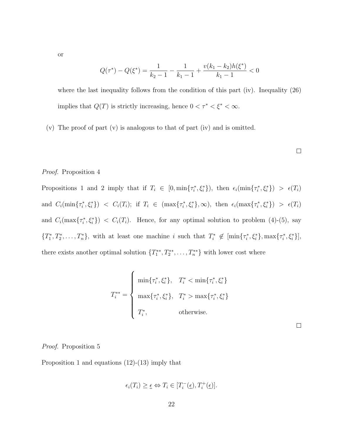or

$$
Q(\tau^*) - Q(\xi^*) = \frac{1}{k_2 - 1} - \frac{1}{k_1 - 1} + \frac{v(k_1 - k_2)h(\xi^*)}{k_1 - 1} < 0
$$

where the last inequality follows from the condition of this part (iv). Inequality  $(26)$ implies that  $Q(T)$  is strictly increasing, hence  $0 < \tau^* < \xi^* < \infty$ .

(v) The proof of part (v) is analogous to that of part (iv) and is omitted.

#### Proof. Proposition 4

Propositions 1 and 2 imply that if  $T_i \in [0, \min\{\tau_i^*, \xi_i^*\}]$ , then  $\epsilon_i(\min\{\tau_i^*, \xi_i^*\}) > \epsilon(T_i)$ and  $C_i(\min\{\tau_i^*, \xi_i^*\})$  <  $C_i(T_i)$ ; if  $T_i \in (\max\{\tau_i^*, \xi_i^*\}, \infty)$ , then  $\epsilon_i(\max\{\tau_i^*, \xi_i^*\})$  >  $\epsilon(T_i)$ and  $C_i(\max\{\tau_i^*,\xi_i^*\}) < C_i(T_i)$ . Hence, for any optimal solution to problem (4)-(5), say  ${T_1^*, T_2^*, \ldots, T_n^*},$  with at least one machine i such that  $T_i^* \notin \left[\min\{\tau_i^*, \xi_i^*\}, \max\{\tau_i^*, \xi_i^*\}\right],$ there exists another optimal solution  $\{T_1^{**}, T_2^{**}, \ldots, T_n^{**}\}$  with lower cost where

$$
T_{i}^{**} = \begin{cases} \min\{\tau_{i}^{*}, \xi_{i}^{*}\}, & T_{i}^{*} < \min\{\tau_{i}^{*}, \xi_{i}^{*}\} \\ \max\{\tau_{i}^{*}, \xi_{i}^{*}\}, & T_{i}^{*} > \max\{\tau_{i}^{*}, \xi_{i}^{*}\} \\ T_{i}^{*}, & \text{otherwise.} \end{cases}
$$

 $\Box$ 

#### Proof. Proposition 5

Proposition 1 and equations  $(12)-(13)$  imply that

$$
\epsilon_i(T_i) \ge \underline{\epsilon} \Leftrightarrow T_i \in [T_i^-(\underline{\epsilon}), T_i^+(\underline{\epsilon})].
$$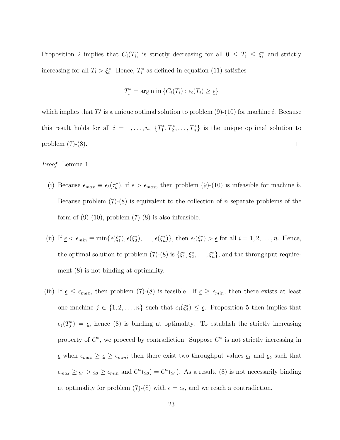Proposition 2 implies that  $C_i(T_i)$  is strictly decreasing for all  $0 \leq T_i \leq \xi_i^*$  and strictly increasing for all  $T_i > \xi_i^*$ . Hence,  $T_i^*$  as defined in equation (11) satisfies

$$
T_i^* = \arg\min \{ C_i(T_i) : \epsilon_i(T_i) \ge \epsilon \}
$$

which implies that  $T_i^*$  is a unique optimal solution to problem (9)-(10) for machine *i*. Because this result holds for all  $i = 1, \ldots, n$ ,  $\{T_1^*, T_2^*, \ldots, T_n^*\}$  is the unique optimal solution to problem (7)-(8).  $\Box$ 

Proof. Lemma 1

- (i) Because  $\epsilon_{max} \equiv \epsilon_b(\tau_b^*)$ , if  $\epsilon > \epsilon_{max}$ , then problem (9)-(10) is infeasible for machine b. Because problem  $(7)-(8)$  is equivalent to the collection of n separate problems of the form of  $(9)-(10)$ , problem  $(7)-(8)$  is also infeasible.
- (ii) If  $\underline{\epsilon} < \epsilon_{min} \equiv \min{\{\epsilon(\xi_1^*), \epsilon(\xi_2^*), \ldots, \epsilon(\xi_n^*)\}}$ , then  $\epsilon_i(\xi_i^*) > \underline{\epsilon}$  for all  $i = 1, 2, \ldots, n$ . Hence, the optimal solution to problem (7)-(8) is  $\{\xi_1^*, \xi_2^*, \dots, \xi_n^*\}$ , and the throughput requirement (8) is not binding at optimality.
- (iii) If  $\epsilon \leq \epsilon_{max}$ , then problem (7)-(8) is feasible. If  $\epsilon \geq \epsilon_{min}$ , then there exists at least one machine  $j \in \{1, 2, ..., n\}$  such that  $\epsilon_j(\xi_j^*) \leq \epsilon$ . Proposition 5 then implies that  $\epsilon_j(T_j^*) = \epsilon$ , hence (8) is binding at optimality. To establish the strictly increasing property of  $C^*$ , we proceed by contradiction. Suppose  $C^*$  is not strictly increasing in  $\epsilon$  when  $\epsilon_{max} \geq \epsilon \geq \epsilon_{min}$ ; then there exist two throughput values  $\epsilon_1$  and  $\epsilon_2$  such that  $\epsilon_{max} \geq \epsilon_1 > \epsilon_2 \geq \epsilon_{min}$  and  $C^*(\epsilon_2) = C^*(\epsilon_1)$ . As a result, (8) is not necessarily binding at optimality for problem (7)-(8) with  $\underline{\epsilon} = \underline{\epsilon}_2$ , and we reach a contradiction.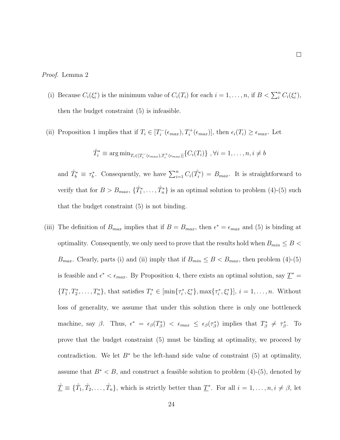#### Proof. Lemma 2

- (i) Because  $C_i(\xi_i^*)$  is the minimum value of  $C_i(T_i)$  for each  $i = 1, ..., n$ , if  $B < \sum_i^n C_i(\xi_i^*),$ then the budget constraint (5) is infeasible.
- (ii) Proposition 1 implies that if  $T_i \in [T_i^-]$  $T_i^-(\epsilon_{max}), T_i^+(\epsilon_{max})],$  then  $\epsilon_i(T_i) \geq \epsilon_{max}.$  Let

$$
\hat{T}_i^* \equiv \arg\min_{T_i \in [T_i^-(\epsilon_{max}), T_i^+(\epsilon_{max})]} \{C_i(T_i)\}, \forall i = 1, \ldots, n, i \neq b
$$

and  $\hat{T}_b^* \equiv \tau_b^*$ . Consequently, we have  $\sum_{i=1}^n C_i(\hat{T}_i^*) = B_{max}$ . It is straightforward to verify that for  $B > B_{max}$ ,  $\{\hat{T}_1^*, \dots, \hat{T}_n^*\}$  is an optimal solution to problem (4)-(5) such that the budget constraint (5) is not binding.

(iii) The definition of  $B_{max}$  implies that if  $B = B_{max}$ , then  $\epsilon^* = \epsilon_{max}$  and (5) is binding at optimality. Consequently, we only need to prove that the results hold when  $B_{min} \leq B$  $B_{max}$ . Clearly, parts (i) and (ii) imply that if  $B_{min} \leq B < B_{max}$ , then problem (4)-(5) is feasible and  $\epsilon^* < \epsilon_{max}$ . By Proposition 4, there exists an optimal solution, say  $\underline{T}^* =$  ${T_1^*, T_2^*, \ldots, T_n^*},$  that satisfies  $T_i^* \in [\min\{\tau_i^*, \xi_i^*\}, \max\{\tau_i^*, \xi_i^*\}], i = 1, \ldots, n$ . Without loss of generality, we assume that under this solution there is only one bottleneck machine, say  $\beta$ . Thus,  $\epsilon^* = \epsilon_\beta(T^*_\beta) < \epsilon_{max} \leq \epsilon_\beta(\tau^*_\beta)$  implies that  $T^*_\beta \neq \tau^*_\beta$ . To prove that the budget constraint (5) must be binding at optimality, we proceed by contradiction. We let  $B^*$  be the left-hand side value of constraint (5) at optimality, assume that  $B^* < B$ , and construct a feasible solution to problem (4)-(5), denoted by  $\hat{\mathcal{I}} \equiv \{\hat{T}_1, \hat{T}_2, \ldots, \hat{T}_n\},\$  which is strictly better than  $\underline{T}^*$ . For all  $i = 1, \ldots, n, i \neq \beta$ , let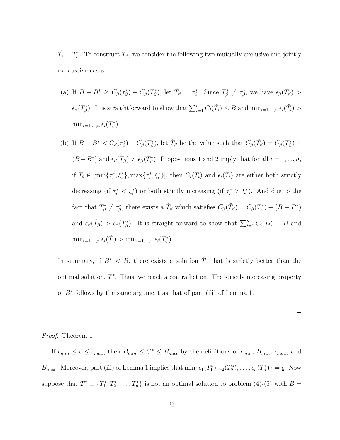$\hat{T}_i = T_i^*$ . To construct  $\hat{T}_{\beta}$ , we consider the following two mutually exclusive and jointly exhaustive cases.

- (a) If  $B B^* \geq C_\beta(\tau_\beta^*) C_\beta(T_\beta^*)$ , let  $\hat{T}_\beta = \tau_\beta^*$ . Since  $T_\beta^* \neq \tau_\beta^*$ , we have  $\epsilon_\beta(\hat{T}_\beta) >$  $\epsilon_{\beta}(T_{\beta}^{*})$ . It is straightforward to show that  $\sum_{i=1}^{n} C_{i}(\hat{T}_{i}) \leq B$  and  $\min_{i=1,\dots,n} \epsilon_{i}(\hat{T}_{i}) >$  $\min_{i=1,\dots,n} \epsilon_i(T_i^*).$
- (b) If  $B B^* < C_\beta(\tau_\beta^*) C_\beta(T_\beta^*)$ , let  $\hat{T}_\beta$  be the value such that  $C_\beta(\hat{T}_\beta) = C_\beta(T_\beta^*) + C_\beta(T_\beta^*)$  $(B - B^*)$  and  $\epsilon_\beta(\hat{T}_\beta) > \epsilon_\beta(T^*_\beta)$ . Propositions 1 and 2 imply that for all  $i = 1, ..., n$ , if  $T_i \in \left[ \min\{\tau_i^*, \xi_i^*\}, \max\{\tau_i^*, \xi_i^*\} \right]$ , then  $C_i(T_i)$  and  $\epsilon_i(T_i)$  are either both strictly decreasing (if  $\tau_i^* < \xi_i^*$ ) or both strictly increasing (if  $\tau_i^* > \xi_i^*$ ). And due to the fact that  $T^*_{\beta} \neq \tau^*_{\beta}$ , there exists a  $\hat{T}_{\beta}$  which satisfies  $C_{\beta}(\hat{T}_{\beta}) = C_{\beta}(T^*_{\beta}) + (B - B^*)$ and  $\epsilon_{\beta}(\hat{T}_{\beta}) > \epsilon_{\beta}(T_{\beta}^{*})$ . It is straight forward to show that  $\sum_{i=1}^{n} C_i(\hat{T}_i) = B$  and  $\min_{i=1,\dots,n} \epsilon_i(\hat{T}_i) > \min_{i=1,\dots,n} \epsilon_i(T_i^*).$

In summary, if  $B^* < B$ , there exists a solution  $\hat{\underline{T}}$ , that is strictly better than the optimal solution,  $\underline{T}^*$ . Thus, we reach a contradiction. The strictly increasing property of  $B^*$  follows by the same argument as that of part (iii) of Lemma 1.

#### Proof. Theorem 1

If  $\epsilon_{min} \leq \epsilon \leq \epsilon_{max}$ , then  $B_{min} \leq C^* \leq B_{max}$  by the definitions of  $\epsilon_{min}$ ,  $B_{min}$ ,  $\epsilon_{max}$ , and  $B_{max}$ . Moreover, part (iii) of Lemma 1 implies that  $\min{\{\epsilon_1(T_1^*), \epsilon_2(T_2^*), \ldots, \epsilon_n(T_n^*)\}} = \underline{\epsilon}$ . Now suppose that  $\underline{T}^* \equiv \{T_1^*, T_2^*, \ldots, T_n^*\}$  is not an optimal solution to problem (4)-(5) with  $B =$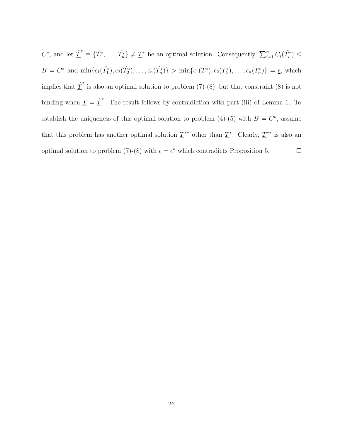$C^*$ , and let  $\underline{\hat{T}}^* \equiv \{\hat{T}_1^*, \ldots, \hat{T}_n^*\} \neq \underline{T}^*$  be an optimal solution. Consequently,  $\sum_{i=1}^n C_i(\hat{T}_i^*) \leq$  $B = C^*$  and  $\min\{\epsilon_1(\hat{T}_1^*), \epsilon_2(\hat{T}_2^*), \ldots, \epsilon_n(\hat{T}_n^*)\} > \min\{\epsilon_1(T_1^*), \epsilon_2(T_2^*), \ldots, \epsilon_n(T_n^*)\} = \underline{\epsilon}$ , which implies that  $\hat{\mathcal{I}}^*$  is also an optimal solution to problem (7)-(8), but that constraint (8) is not binding when  $\underline{T} = \underline{\hat{T}}^*$ . The result follows by contradiction with part (iii) of Lemma 1. To establish the uniqueness of this optimal solution to problem (4)-(5) with  $B = C^*$ , assume that this problem has another optimal solution  $T^{**}$  other than  $T^*$ . Clearly,  $T^{**}$  is also an optimal solution to problem (7)-(8) with  $\epsilon = \epsilon^*$  which contradicts Proposition 5.  $\Box$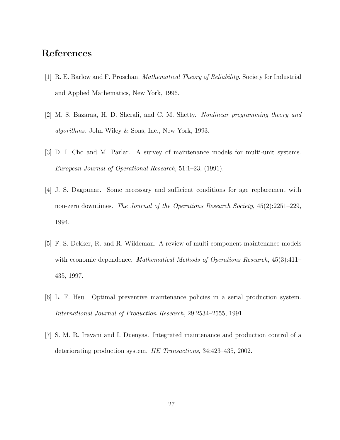# References

- [1] R. E. Barlow and F. Proschan. Mathematical Theory of Reliability. Society for Industrial and Applied Mathematics, New York, 1996.
- [2] M. S. Bazaraa, H. D. Sherali, and C. M. Shetty. Nonlinear programming theory and algorithms. John Wiley & Sons, Inc., New York, 1993.
- [3] D. I. Cho and M. Parlar. A survey of maintenance models for multi-unit systems. European Journal of Operational Research, 51:1–23, (1991).
- [4] J. S. Dagpunar. Some necessary and sufficient conditions for age replacement with non-zero downtimes. The Journal of the Operations Research Society, 45(2):2251–229, 1994.
- [5] F. S. Dekker, R. and R. Wildeman. A review of multi-component maintenance models with economic dependence. *Mathematical Methods of Operations Research*, 45(3):411– 435, 1997.
- [6] L. F. Hsu. Optimal preventive maintenance policies in a serial production system. International Journal of Production Research, 29:2534–2555, 1991.
- [7] S. M. R. Iravani and I. Duenyas. Integrated maintenance and production control of a deteriorating production system. IIE Transactions, 34:423–435, 2002.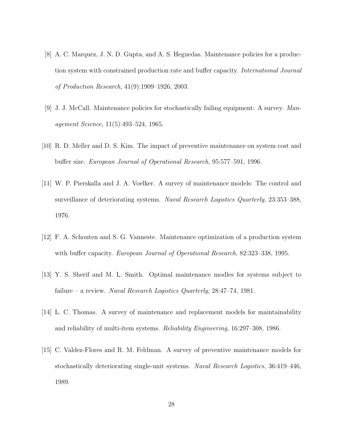- [8] A. C. Marquez, J. N. D. Gupta, and A. S. Heguedas. Maintenance policies for a production system with constrained production rate and buffer capacity. International Journal of Production Research, 41(9):1909–1926, 2003.
- [9] J. J. McCall. Maintenance policies for stochastically failing equipment: A survey. Management Science, 11(5):493–524, 1965.
- [10] R. D. Meller and D. S. Kim. The impact of preventive maintenance on system cost and buffer size. European Journal of Operational Research, 95:577–591, 1996.
- [11] W. P. Pierskalla and J. A. Voelker. A survey of maintenance models: The control and surveillance of deteriorating systems. Naval Research Logistics Quarterly, 23:353–388, 1976.
- [12] F. A. Schouten and S. G. Vanneste. Maintenance optimization of a production system with buffer capacity. *European Journal of Operational Research*, 82:323–338, 1995.
- [13] Y. S. Sherif and M. L. Smith. Optimal maintenance modles for systems subject to failure – a review. Naval Research Logistics Quarterly, 28:47–74, 1981.
- [14] L. C. Thomas. A survey of maintenance and replacement models for maintainability and reliability of multi-item systems. Reliability Engineering, 16:297–308, 1986.
- [15] C. Valdez-Flores and R. M. Feldman. A survey of preventive maintenance models for stochastically deteriorating single-unit systems. Naval Research Logistics, 36:419–446, 1989.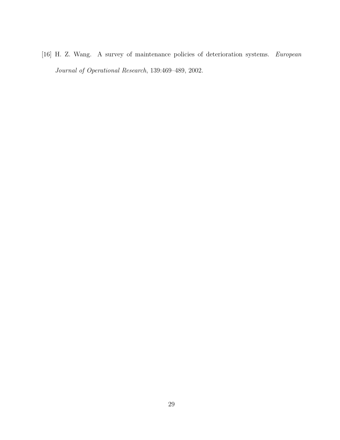[16] H. Z. Wang. A survey of maintenance policies of deterioration systems. European Journal of Operational Research, 139:469–489, 2002.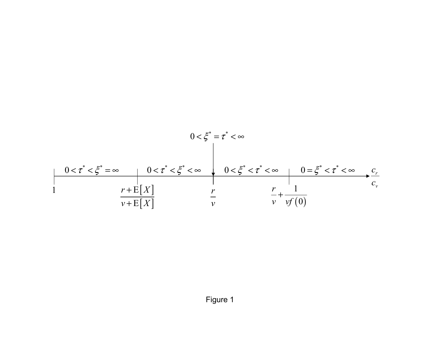